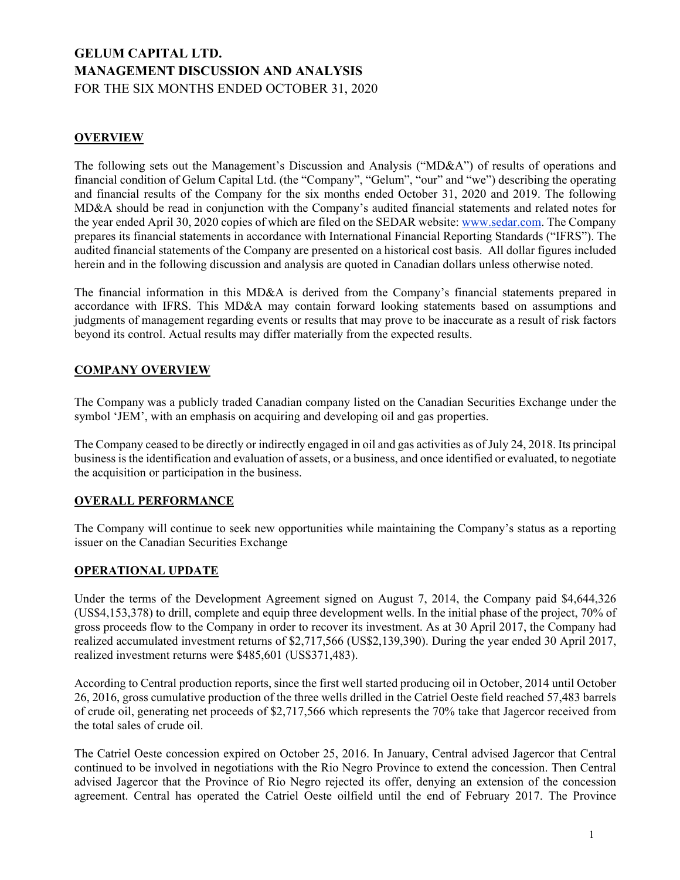# **GELUM CAPITAL LTD. MANAGEMENT DISCUSSION AND ANALYSIS** FOR THE SIX MONTHS ENDED OCTOBER 31, 2020

## **OVERVIEW**

The following sets out the Management's Discussion and Analysis ("MD&A") of results of operations and financial condition of Gelum Capital Ltd. (the "Company", "Gelum", "our" and "we") describing the operating and financial results of the Company for the six months ended October 31, 2020 and 2019. The following MD&A should be read in conjunction with the Company's audited financial statements and related notes for the year ended April 30, 2020 copies of which are filed on the SEDAR website: www.sedar.com. The Company prepares its financial statements in accordance with International Financial Reporting Standards ("IFRS"). The audited financial statements of the Company are presented on a historical cost basis. All dollar figures included herein and in the following discussion and analysis are quoted in Canadian dollars unless otherwise noted.

The financial information in this MD&A is derived from the Company's financial statements prepared in accordance with IFRS. This MD&A may contain forward looking statements based on assumptions and judgments of management regarding events or results that may prove to be inaccurate as a result of risk factors beyond its control. Actual results may differ materially from the expected results.

## **COMPANY OVERVIEW**

The Company was a publicly traded Canadian company listed on the Canadian Securities Exchange under the symbol 'JEM', with an emphasis on acquiring and developing oil and gas properties.

The Company ceased to be directly or indirectly engaged in oil and gas activities as of July 24, 2018. Its principal business is the identification and evaluation of assets, or a business, and once identified or evaluated, to negotiate the acquisition or participation in the business.

## **OVERALL PERFORMANCE**

The Company will continue to seek new opportunities while maintaining the Company's status as a reporting issuer on the Canadian Securities Exchange

#### **OPERATIONAL UPDATE**

Under the terms of the Development Agreement signed on August 7, 2014, the Company paid \$4,644,326 (US\$4,153,378) to drill, complete and equip three development wells. In the initial phase of the project, 70% of gross proceeds flow to the Company in order to recover its investment. As at 30 April 2017, the Company had realized accumulated investment returns of \$2,717,566 (US\$2,139,390). During the year ended 30 April 2017, realized investment returns were \$485,601 (US\$371,483).

According to Central production reports, since the first well started producing oil in October, 2014 until October 26, 2016, gross cumulative production of the three wells drilled in the Catriel Oeste field reached 57,483 barrels of crude oil, generating net proceeds of \$2,717,566 which represents the 70% take that Jagercor received from the total sales of crude oil.

The Catriel Oeste concession expired on October 25, 2016. In January, Central advised Jagercor that Central continued to be involved in negotiations with the Rio Negro Province to extend the concession. Then Central advised Jagercor that the Province of Rio Negro rejected its offer, denying an extension of the concession agreement. Central has operated the Catriel Oeste oilfield until the end of February 2017. The Province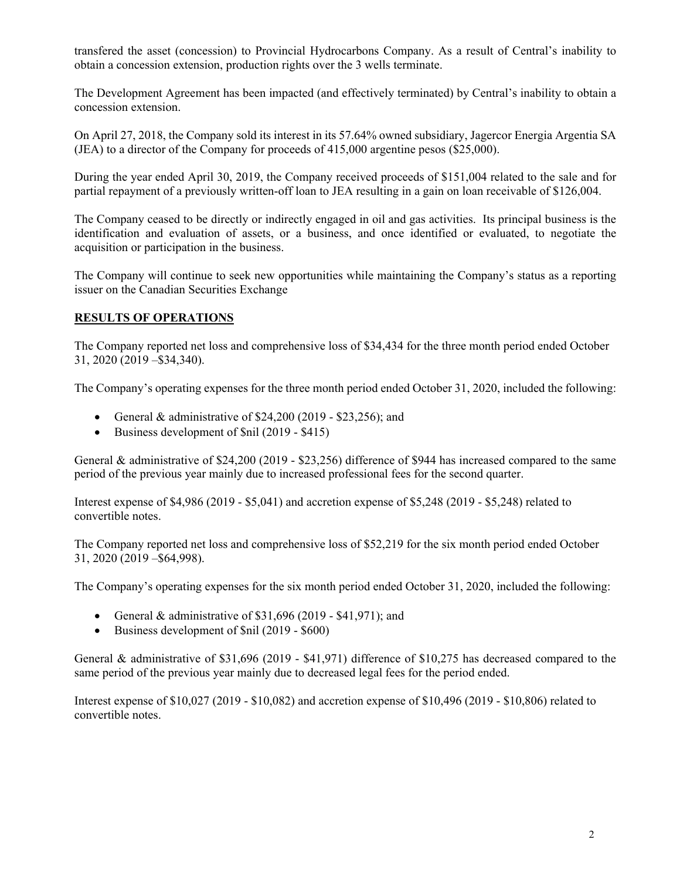transfered the asset (concession) to Provincial Hydrocarbons Company. As a result of Central's inability to obtain a concession extension, production rights over the 3 wells terminate.

The Development Agreement has been impacted (and effectively terminated) by Central's inability to obtain a concession extension.

On April 27, 2018, the Company sold its interest in its 57.64% owned subsidiary, Jagercor Energia Argentia SA (JEA) to a director of the Company for proceeds of 415,000 argentine pesos (\$25,000).

During the year ended April 30, 2019, the Company received proceeds of \$151,004 related to the sale and for partial repayment of a previously written-off loan to JEA resulting in a gain on loan receivable of \$126,004.

The Company ceased to be directly or indirectly engaged in oil and gas activities. Its principal business is the identification and evaluation of assets, or a business, and once identified or evaluated, to negotiate the acquisition or participation in the business.

The Company will continue to seek new opportunities while maintaining the Company's status as a reporting issuer on the Canadian Securities Exchange

## **RESULTS OF OPERATIONS**

The Company reported net loss and comprehensive loss of \$34,434 for the three month period ended October 31, 2020 (2019 –\$34,340).

The Company's operating expenses for the three month period ended October 31, 2020, included the following:

- General & administrative of  $$24,200 (2019 $23,256)$ ; and
- $\bullet$  Business development of  $\text{\$nil}$  (2019 \$415)

General & administrative of \$24,200 (2019 - \$23,256) difference of \$944 has increased compared to the same period of the previous year mainly due to increased professional fees for the second quarter.

Interest expense of \$4,986 (2019 - \$5,041) and accretion expense of \$5,248 (2019 - \$5,248) related to convertible notes.

The Company reported net loss and comprehensive loss of \$52,219 for the six month period ended October 31, 2020 (2019 –\$64,998).

The Company's operating expenses for the six month period ended October 31, 2020, included the following:

- General & administrative of  $$31,696 (2019 $41,971)$ ; and
- $\bullet$  Business development of  $\text{Snil}$  (2019 \$600)

General & administrative of \$31,696 (2019 - \$41,971) difference of \$10,275 has decreased compared to the same period of the previous year mainly due to decreased legal fees for the period ended.

Interest expense of \$10,027 (2019 - \$10,082) and accretion expense of \$10,496 (2019 - \$10,806) related to convertible notes.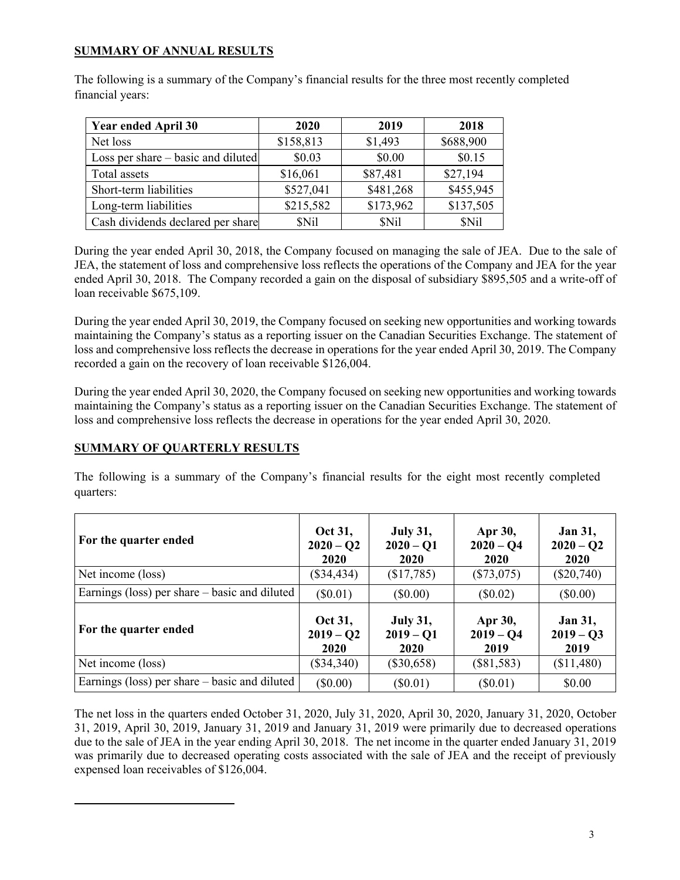## **SUMMARY OF ANNUAL RESULTS**

The following is a summary of the Company's financial results for the three most recently completed financial years:

| <b>Year ended April 30</b>         | 2020        | 2019      | 2018        |
|------------------------------------|-------------|-----------|-------------|
| Net loss                           | \$158,813   | \$1,493   | \$688,900   |
| Loss per share – basic and diluted | \$0.03      | \$0.00    | \$0.15      |
| Total assets                       | \$16,061    | \$87,481  | \$27,194    |
| Short-term liabilities             | \$527,041   | \$481,268 | \$455,945   |
| Long-term liabilities              | \$215,582   | \$173,962 | \$137,505   |
| Cash dividends declared per share  | <b>SNil</b> | \$Nil     | <b>SNil</b> |

During the year ended April 30, 2018, the Company focused on managing the sale of JEA. Due to the sale of JEA, the statement of loss and comprehensive loss reflects the operations of the Company and JEA for the year ended April 30, 2018. The Company recorded a gain on the disposal of subsidiary \$895,505 and a write-off of loan receivable \$675,109.

During the year ended April 30, 2019, the Company focused on seeking new opportunities and working towards maintaining the Company's status as a reporting issuer on the Canadian Securities Exchange. The statement of loss and comprehensive loss reflects the decrease in operations for the year ended April 30, 2019. The Company recorded a gain on the recovery of loan receivable \$126,004.

During the year ended April 30, 2020, the Company focused on seeking new opportunities and working towards maintaining the Company's status as a reporting issuer on the Canadian Securities Exchange. The statement of loss and comprehensive loss reflects the decrease in operations for the year ended April 30, 2020.

## **SUMMARY OF QUARTERLY RESULTS**

The following is a summary of the Company's financial results for the eight most recently completed quarters:

| For the quarter ended                           | Oct 31,<br>$2020 - Q2$<br><b>2020</b> | <b>July 31,</b><br>$2020 - Q1$<br><b>2020</b> | Apr 30,<br>$2020 - Q4$<br><b>2020</b> | <b>Jan 31,</b><br>$2020 - Q2$<br><b>2020</b> |
|-------------------------------------------------|---------------------------------------|-----------------------------------------------|---------------------------------------|----------------------------------------------|
| Net income (loss)                               | $(\$34,434)$                          | (\$17,785)                                    | $(\$73,075)$                          | $(\$20,740)$                                 |
| Earnings (loss) per share – basic and diluted   | $(\$0.01)$                            | $(\$0.00)$                                    | $(\$0.02)$                            | $(\$0.00)$                                   |
| For the quarter ended                           | Oct 31,<br>$2019 - Q2$<br>2020        | <b>July 31,</b><br>$2019 - Q1$<br><b>2020</b> | Apr 30,<br>$2019 - Q4$<br>2019        | <b>Jan 31,</b><br>$2019 - Q3$<br>2019        |
| Net income (loss)                               | $(\$34,340)$                          | $(\$30,658)$                                  | $(\$81,583)$                          | (\$11,480)                                   |
| Earnings (loss) per share $-$ basic and diluted | $(\$0.00)$                            | $(\$0.01)$                                    | $(\$0.01)$                            | \$0.00                                       |

The net loss in the quarters ended October 31, 2020, July 31, 2020, April 30, 2020, January 31, 2020, October 31, 2019, April 30, 2019, January 31, 2019 and January 31, 2019 were primarily due to decreased operations due to the sale of JEA in the year ending April 30, 2018. The net income in the quarter ended January 31, 2019 was primarily due to decreased operating costs associated with the sale of JEA and the receipt of previously expensed loan receivables of \$126,004.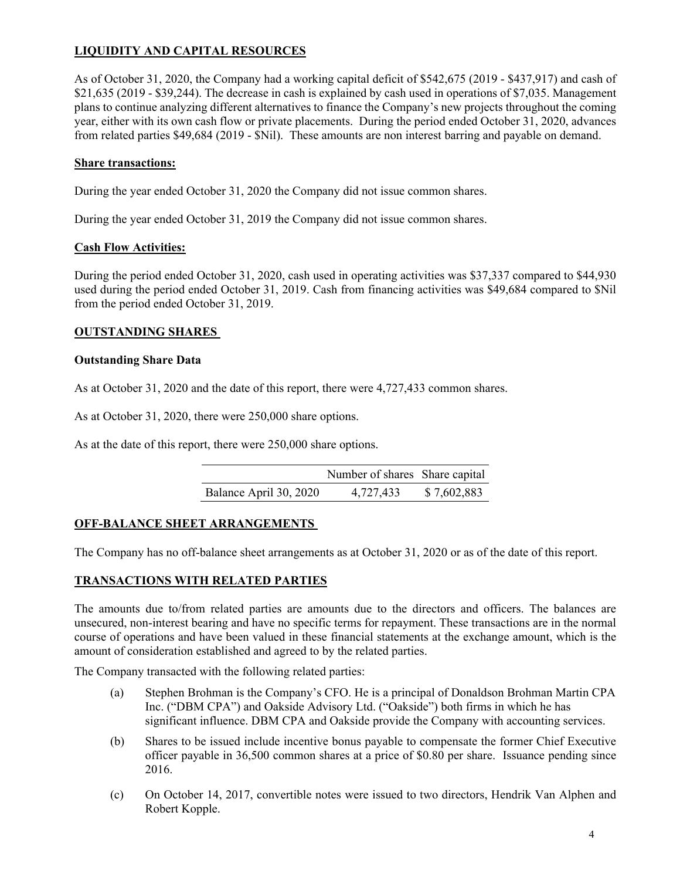## **LIQUIDITY AND CAPITAL RESOURCES**

As of October 31, 2020, the Company had a working capital deficit of \$542,675 (2019 - \$437,917) and cash of \$21,635 (2019 - \$39,244). The decrease in cash is explained by cash used in operations of \$7,035. Management plans to continue analyzing different alternatives to finance the Company's new projects throughout the coming year, either with its own cash flow or private placements. During the period ended October 31, 2020, advances from related parties \$49,684 (2019 - \$Nil). These amounts are non interest barring and payable on demand.

#### **Share transactions:**

During the year ended October 31, 2020 the Company did not issue common shares.

During the year ended October 31, 2019 the Company did not issue common shares.

#### **Cash Flow Activities:**

During the period ended October 31, 2020, cash used in operating activities was \$37,337 compared to \$44,930 used during the period ended October 31, 2019. Cash from financing activities was \$49,684 compared to \$Nil from the period ended October 31, 2019.

### **OUTSTANDING SHARES**

#### **Outstanding Share Data**

As at October 31, 2020 and the date of this report, there were 4,727,433 common shares.

As at October 31, 2020, there were 250,000 share options.

As at the date of this report, there were 250,000 share options.

|                        | Number of shares Share capital |             |
|------------------------|--------------------------------|-------------|
| Balance April 30, 2020 | 4,727,433                      | \$7,602,883 |

#### **OFF-BALANCE SHEET ARRANGEMENTS**

The Company has no off-balance sheet arrangements as at October 31, 2020 or as of the date of this report.

#### **TRANSACTIONS WITH RELATED PARTIES**

The amounts due to/from related parties are amounts due to the directors and officers. The balances are unsecured, non-interest bearing and have no specific terms for repayment. These transactions are in the normal course of operations and have been valued in these financial statements at the exchange amount, which is the amount of consideration established and agreed to by the related parties.

The Company transacted with the following related parties:

- (a) Stephen Brohman is the Company's CFO. He is a principal of Donaldson Brohman Martin CPA Inc. ("DBM CPA") and Oakside Advisory Ltd. ("Oakside") both firms in which he has significant influence. DBM CPA and Oakside provide the Company with accounting services.
- (b) Shares to be issued include incentive bonus payable to compensate the former Chief Executive officer payable in 36,500 common shares at a price of \$0.80 per share. Issuance pending since 2016.
- (c) On October 14, 2017, convertible notes were issued to two directors, Hendrik Van Alphen and Robert Kopple.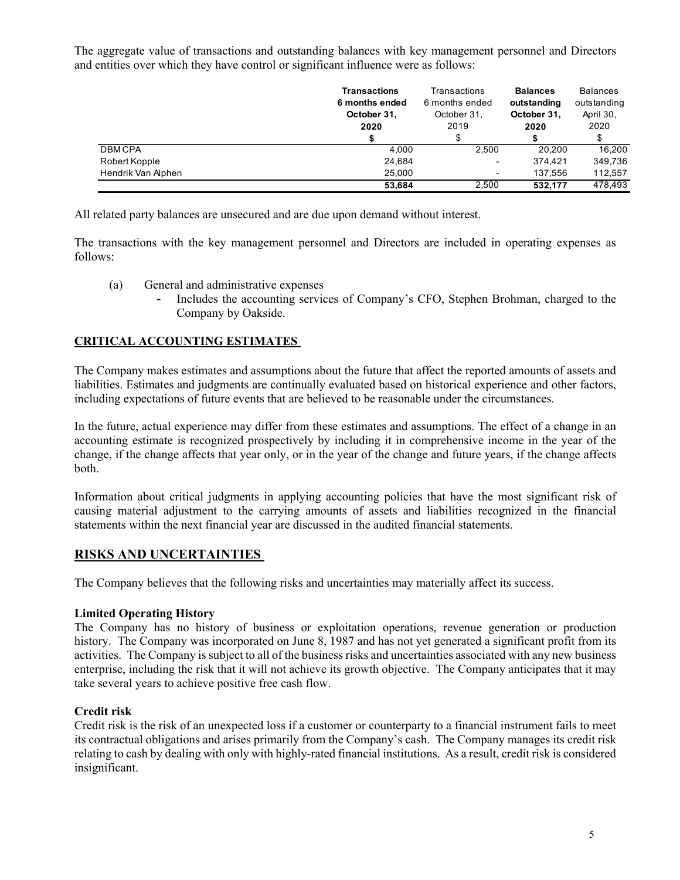The aggregate value of transactions and outstanding balances with key management personnel and Directors and entities over which they have control or significant influence were as follows:

|                    | <b>Transactions</b><br>6 months ended<br>October 31. | Transactions<br>6 months ended<br>October 31. | <b>Balances</b><br>outstanding<br>October 31. | <b>Balances</b><br>outstanding<br>April 30, |
|--------------------|------------------------------------------------------|-----------------------------------------------|-----------------------------------------------|---------------------------------------------|
|                    | 2020                                                 | 2019                                          | 2020                                          | 2020                                        |
|                    | æ                                                    | \$                                            |                                               | ъ                                           |
| <b>DBMCPA</b>      | 4.000                                                | 2.500                                         | 20.200                                        | 16.200                                      |
| Robert Kopple      | 24,684                                               | ۰                                             | 374.421                                       | 349,736                                     |
| Hendrik Van Alphen | 25.000                                               | ٠                                             | 137.556                                       | 112.557                                     |
|                    | 53.684                                               | 2.500                                         | 532.177                                       | 478.493                                     |

All related party balances are unsecured and are due upon demand without interest.

The transactions with the key management personnel and Directors are included in operating expenses as follows:

- (a) General and administrative expenses
	- Includes the accounting services of Company's CFO, Stephen Brohman, charged to the Company by Oakside.

### **CRITICAL ACCOUNTING ESTIMATES**

The Company makes estimates and assumptions about the future that affect the reported amounts of assets and liabilities. Estimates and judgments are continually evaluated based on historical experience and other factors, including expectations of future events that are believed to be reasonable under the circumstances.

In the future, actual experience may differ from these estimates and assumptions. The effect of a change in an accounting estimate is recognized prospectively by including it in comprehensive income in the year of the change, if the change affects that year only, or in the year of the change and future years, if the change affects both.

Information about critical judgments in applying accounting policies that have the most significant risk of causing material adjustment to the carrying amounts of assets and liabilities recognized in the financial statements within the next financial year are discussed in the audited financial statements.

#### **RISKS AND UNCERTAINTIES**

The Company believes that the following risks and uncertainties may materially affect its success.

#### **Limited Operating History**

The Company has no history of business or exploitation operations, revenue generation or production history. The Company was incorporated on June 8, 1987 and has not yet generated a significant profit from its activities. The Company is subject to all of the business risks and uncertainties associated with any new business enterprise, including the risk that it will not achieve its growth objective. The Company anticipates that it may take several years to achieve positive free cash flow.

#### **Credit risk**

Credit risk is the risk of an unexpected loss if a customer or counterparty to a financial instrument fails to meet its contractual obligations and arises primarily from the Company's cash. The Company manages its credit risk relating to cash by dealing with only with highly-rated financial institutions. As a result, credit risk is considered insignificant.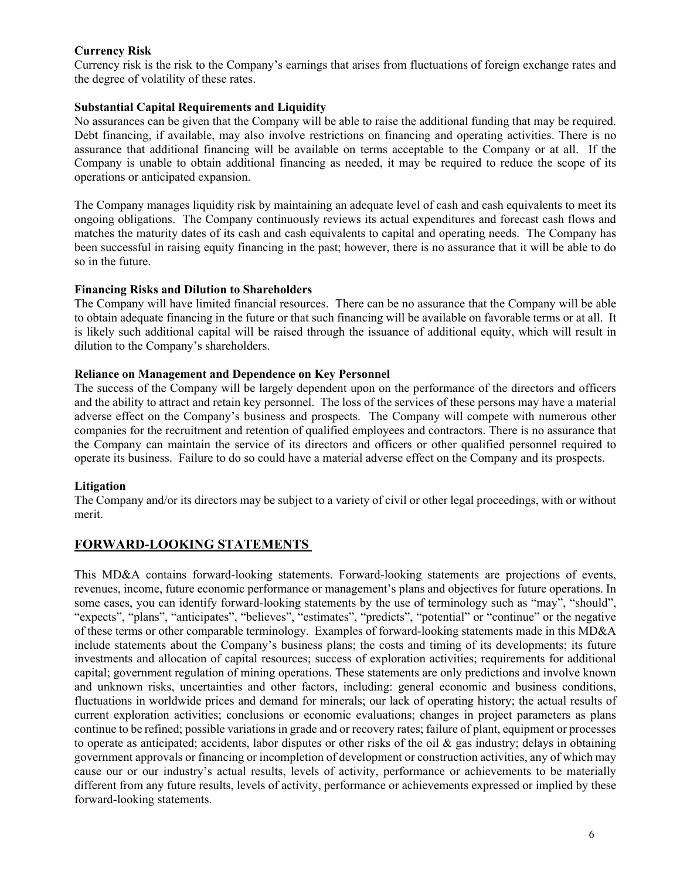### **Currency Risk**

Currency risk is the risk to the Company's earnings that arises from fluctuations of foreign exchange rates and the degree of volatility of these rates.

### **Substantial Capital Requirements and Liquidity**

No assurances can be given that the Company will be able to raise the additional funding that may be required. Debt financing, if available, may also involve restrictions on financing and operating activities. There is no assurance that additional financing will be available on terms acceptable to the Company or at all. If the Company is unable to obtain additional financing as needed, it may be required to reduce the scope of its operations or anticipated expansion.

The Company manages liquidity risk by maintaining an adequate level of cash and cash equivalents to meet its ongoing obligations. The Company continuously reviews its actual expenditures and forecast cash flows and matches the maturity dates of its cash and cash equivalents to capital and operating needs. The Company has been successful in raising equity financing in the past; however, there is no assurance that it will be able to do so in the future.

#### **Financing Risks and Dilution to Shareholders**

The Company will have limited financial resources. There can be no assurance that the Company will be able to obtain adequate financing in the future or that such financing will be available on favorable terms or at all. It is likely such additional capital will be raised through the issuance of additional equity, which will result in dilution to the Company's shareholders.

#### **Reliance on Management and Dependence on Key Personnel**

The success of the Company will be largely dependent upon on the performance of the directors and officers and the ability to attract and retain key personnel. The loss of the services of these persons may have a material adverse effect on the Company's business and prospects. The Company will compete with numerous other companies for the recruitment and retention of qualified employees and contractors. There is no assurance that the Company can maintain the service of its directors and officers or other qualified personnel required to operate its business. Failure to do so could have a material adverse effect on the Company and its prospects.

## **Litigation**

The Company and/or its directors may be subject to a variety of civil or other legal proceedings, with or without merit.

## **FORWARD-LOOKING STATEMENTS**

This MD&A contains forward-looking statements. Forward-looking statements are projections of events, revenues, income, future economic performance or management's plans and objectives for future operations. In some cases, you can identify forward-looking statements by the use of terminology such as "may", "should", "expects", "plans", "anticipates", "believes", "estimates", "predicts", "potential" or "continue" or the negative of these terms or other comparable terminology. Examples of forward-looking statements made in this MD&A include statements about the Company's business plans; the costs and timing of its developments; its future investments and allocation of capital resources; success of exploration activities; requirements for additional capital; government regulation of mining operations. These statements are only predictions and involve known and unknown risks, uncertainties and other factors, including: general economic and business conditions, fluctuations in worldwide prices and demand for minerals; our lack of operating history; the actual results of current exploration activities; conclusions or economic evaluations; changes in project parameters as plans continue to be refined; possible variations in grade and or recovery rates; failure of plant, equipment or processes to operate as anticipated; accidents, labor disputes or other risks of the oil  $\&$  gas industry; delays in obtaining government approvals or financing or incompletion of development or construction activities, any of which may cause our or our industry's actual results, levels of activity, performance or achievements to be materially different from any future results, levels of activity, performance or achievements expressed or implied by these forward-looking statements.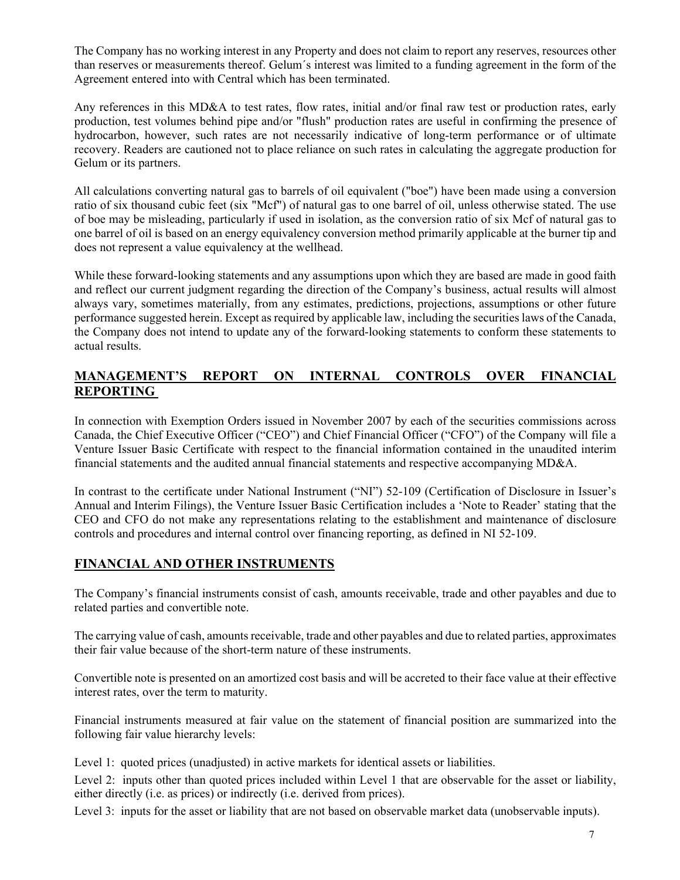The Company has no working interest in any Property and does not claim to report any reserves, resources other than reserves or measurements thereof. Gelum´s interest was limited to a funding agreement in the form of the Agreement entered into with Central which has been terminated.

Any references in this MD&A to test rates, flow rates, initial and/or final raw test or production rates, early production, test volumes behind pipe and/or "flush" production rates are useful in confirming the presence of hydrocarbon, however, such rates are not necessarily indicative of long-term performance or of ultimate recovery. Readers are cautioned not to place reliance on such rates in calculating the aggregate production for Gelum or its partners.

All calculations converting natural gas to barrels of oil equivalent ("boe") have been made using a conversion ratio of six thousand cubic feet (six "Mcf") of natural gas to one barrel of oil, unless otherwise stated. The use of boe may be misleading, particularly if used in isolation, as the conversion ratio of six Mcf of natural gas to one barrel of oil is based on an energy equivalency conversion method primarily applicable at the burner tip and does not represent a value equivalency at the wellhead.

While these forward-looking statements and any assumptions upon which they are based are made in good faith and reflect our current judgment regarding the direction of the Company's business, actual results will almost always vary, sometimes materially, from any estimates, predictions, projections, assumptions or other future performance suggested herein. Except as required by applicable law, including the securities laws of the Canada, the Company does not intend to update any of the forward-looking statements to conform these statements to actual results.

## **MANAGEMENT'S REPORT ON INTERNAL CONTROLS OVER FINANCIAL REPORTING**

In connection with Exemption Orders issued in November 2007 by each of the securities commissions across Canada, the Chief Executive Officer ("CEO") and Chief Financial Officer ("CFO") of the Company will file a Venture Issuer Basic Certificate with respect to the financial information contained in the unaudited interim financial statements and the audited annual financial statements and respective accompanying MD&A.

In contrast to the certificate under National Instrument ("NI") 52-109 (Certification of Disclosure in Issuer's Annual and Interim Filings), the Venture Issuer Basic Certification includes a 'Note to Reader' stating that the CEO and CFO do not make any representations relating to the establishment and maintenance of disclosure controls and procedures and internal control over financing reporting, as defined in NI 52-109.

## **FINANCIAL AND OTHER INSTRUMENTS**

The Company's financial instruments consist of cash, amounts receivable, trade and other payables and due to related parties and convertible note.

The carrying value of cash, amounts receivable, trade and other payables and due to related parties, approximates their fair value because of the short-term nature of these instruments.

Convertible note is presented on an amortized cost basis and will be accreted to their face value at their effective interest rates, over the term to maturity.

Financial instruments measured at fair value on the statement of financial position are summarized into the following fair value hierarchy levels:

Level 1: quoted prices (unadjusted) in active markets for identical assets or liabilities.

Level 2: inputs other than quoted prices included within Level 1 that are observable for the asset or liability, either directly (i.e. as prices) or indirectly (i.e. derived from prices).

Level 3: inputs for the asset or liability that are not based on observable market data (unobservable inputs).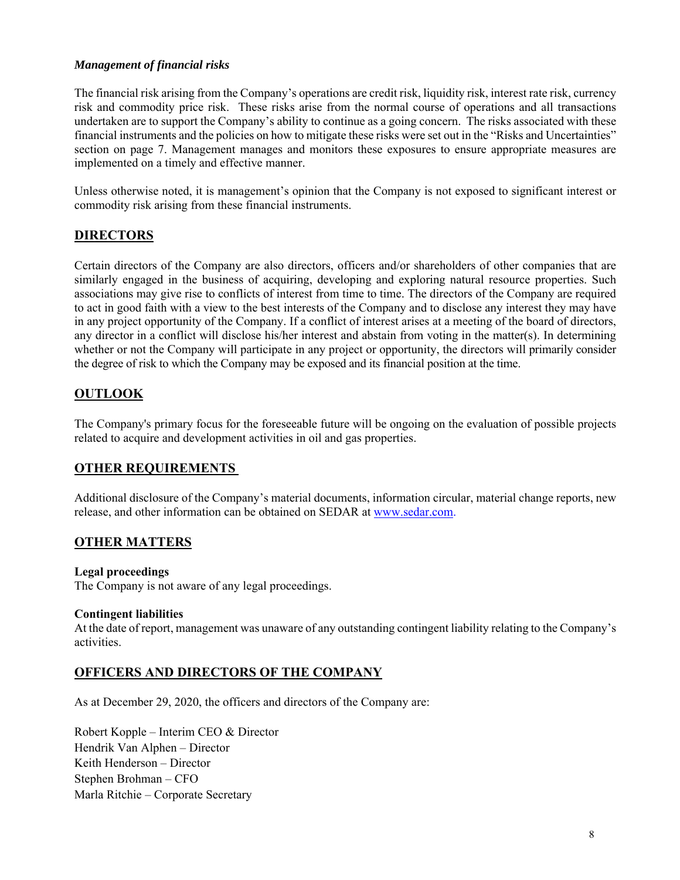### *Management of financial risks*

The financial risk arising from the Company's operations are credit risk, liquidity risk, interest rate risk, currency risk and commodity price risk. These risks arise from the normal course of operations and all transactions undertaken are to support the Company's ability to continue as a going concern. The risks associated with these financial instruments and the policies on how to mitigate these risks were set out in the "Risks and Uncertainties" section on page 7. Management manages and monitors these exposures to ensure appropriate measures are implemented on a timely and effective manner.

Unless otherwise noted, it is management's opinion that the Company is not exposed to significant interest or commodity risk arising from these financial instruments.

## **DIRECTORS**

Certain directors of the Company are also directors, officers and/or shareholders of other companies that are similarly engaged in the business of acquiring, developing and exploring natural resource properties. Such associations may give rise to conflicts of interest from time to time. The directors of the Company are required to act in good faith with a view to the best interests of the Company and to disclose any interest they may have in any project opportunity of the Company. If a conflict of interest arises at a meeting of the board of directors, any director in a conflict will disclose his/her interest and abstain from voting in the matter(s). In determining whether or not the Company will participate in any project or opportunity, the directors will primarily consider the degree of risk to which the Company may be exposed and its financial position at the time.

## **OUTLOOK**

The Company's primary focus for the foreseeable future will be ongoing on the evaluation of possible projects related to acquire and development activities in oil and gas properties.

## **OTHER REQUIREMENTS**

Additional disclosure of the Company's material documents, information circular, material change reports, new release, and other information can be obtained on SEDAR at www.sedar.com.

## **OTHER MATTERS**

#### **Legal proceedings**

The Company is not aware of any legal proceedings.

#### **Contingent liabilities**

At the date of report, management was unaware of any outstanding contingent liability relating to the Company's activities.

## **OFFICERS AND DIRECTORS OF THE COMPANY**

As at December 29, 2020, the officers and directors of the Company are:

Robert Kopple – Interim CEO & Director Hendrik Van Alphen – Director Keith Henderson – Director Stephen Brohman – CFO Marla Ritchie – Corporate Secretary